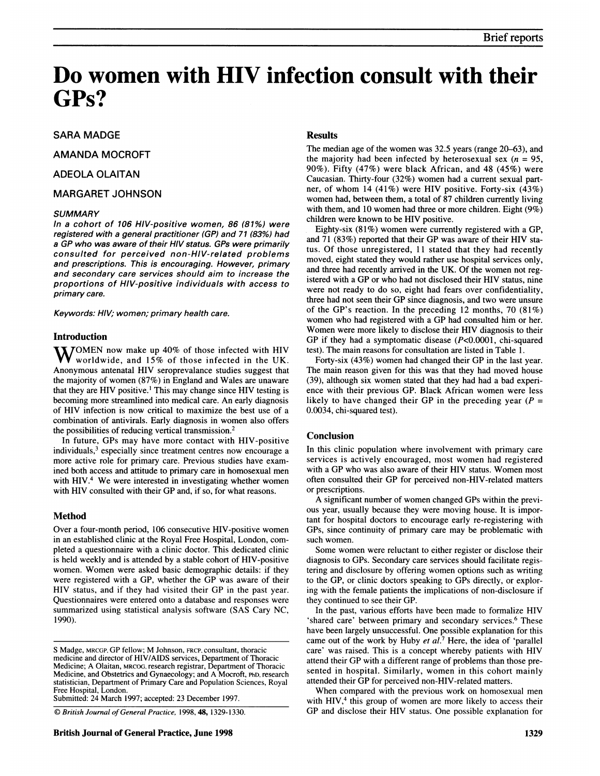# Do women with HIV infection consult with their GP<sub>s</sub>?

# SARA MADGE

AMANDA MOCROFT

# ADEOLA OLAITAN

# MARGARET JOHNSON

#### **SUMMARY**

In a cohort of 106 HIV-positive women, 86 (81%) were registered with a general practitioner (GP) and 71 (83%) had a GP who was aware of their HIV status. GPs were primarily consulted for perceived non-HIV-related problems and prescriptions. This is encouraging. However, primary and secondary care services should aim to increase the proportions of HIV-positive individuals with access to primary care.

Keywords: HIV; women; primary health care.

#### Introduction

 $\mathbf{W}$ OMEN now make up 40% of those infected with HIV worldwide, and 15% of those infected in the UK. Anonymous antenatal HIV seroprevalance studies suggest that the majority of women (87%) in England and Wales are unaware that they are HIV positive.1 This may change since HIV testing is becoming more streamlined into medical care. An early diagnosis of HIV infection is now critical to maximize the best use of <sup>a</sup> combination of antivirals. Early diagnosis in women also offers the possibilities of reducing vertical transmission.<sup>2</sup>

In future, GPs may have more contact with HIV-positive individuals,<sup>3</sup> especially since treatment centres now encourage a more active role for primary care. Previous studies have examined both access and attitude to primary care in homosexual men with HIV.<sup>4</sup> We were interested in investigating whether women with HIV consulted with their GP and, if so, for what reasons.

### Method

Over a four-month period, 106 consecutive HIV-positive women in an established clinic at the Royal Free Hospital, London, completed a questionnaire with a clinic doctor. This dedicated clinic is held weekly and is attended by a stable cohort of HIV-positive women. Women were asked basic demographic details: if they were registered with <sup>a</sup> GP, whether the GP was aware of their HIV status, and if they had visited their GP in the past year. Questionnaires were entered onto a database and responses were summarized using statistical analysis software (SAS Cary NC, 1990).

Submitted: 24 March 1997; accepted: 23 December 1997.

C British Journal of General Practice, 1998, 48, 1329-1330.

# **Results**

The median age of the women was 32.5 years (range 20-63), and the majority had been infected by heterosexual sex  $(n = 95)$ , 90%). Fifty (47%) were black African, and 48 (45%) were Caucasian. Thirty-four (32%) women had a current sexual partner, of whom <sup>14</sup> (41%) were HIV positive. Forty-six (43%) women had, between them, a total of 87 children currently living with them, and 10 women had three or more children. Eight (9%) children were known to be HIV positive.

Eighty-six (81%) women were currently registered with a GP, and <sup>71</sup> (83%) reported that their GP was aware of their HIV status. Of those unregistered, <sup>11</sup> stated that they had recently moved, eight stated they would rather use hospital services only, and three had recently arrived in the UK. Of the women not registered with <sup>a</sup> GP or who had not disclosed their HIV status, nine were not ready to do so, eight had fears over confidentiality, three had not seen their GP since diagnosis, and two were unsure of the GP's reaction. In the preceding 12 months, 70 (81%) women who had registered with <sup>a</sup> GP had consulted him or her. Women were more likely to disclose their HIV diagnosis to their GP if they had <sup>a</sup> symptomatic disease (P<0.0001, chi-squared test). The main reasons for consultation are listed in Table 1.

Forty-six (43%) women had changed their GP in the last year. The main reason given for this was that they had moved house (39), although six women stated that they had had a bad experience with their previous GP. Black African women were less likely to have changed their GP in the preceding year  $(P =$ 0.0034, chi-squared test).

# **Conclusion**

In this clinic population where involvement with primary care services is actively encouraged, most women had registered with <sup>a</sup> GP who was also aware of their HIV status. Women most often consulted their GP for perceived non-HIV-related matters or prescriptions.

A significant number of women changed GPs within the previous year, usually because they were moving house. It is important for hospital doctors to encourage early re-registering with GPs, since continuity of primary care may be problematic with such women.

Some women were reluctant to either register or disclose their diagnosis to GPs. Secondary care services should facilitate registering and disclosure by offering women options such as writing to the GP, or clinic doctors speaking to GPs directly, or exploring with the female patients the implications of non-disclosure if they continued to see their GP.

In the past, various efforts have been made to formalize HIV 'shared care' between primary and secondary services.<sup>6</sup> These have been largely unsuccessful. One possible explanation for this came out of the work by Huby et  $al^7$ . Here, the idea of 'parallel care' was raised. This is <sup>a</sup> concept whereby patients with HIV attend their GP with <sup>a</sup> different range of problems than those presented in hospital. Similarly, women in this cohort mainly attended their GP for perceived non-HIV-related matters.

When compared with the previous work on homosexual men with HIV, $4$  this group of women are more likely to access their GP and disclose their HIV status. One possible explanation for

<sup>S</sup> Madge, MRCGP, GP fellow; M Johnson, FRCP, consultant, thoracic medicine and director of HIV/AIDS services, Department of Thoracic Medicine; A Olaitan, MRCOG, research registrar, Department of Thoracic Medicine, and Obstetrics and Gynaecology; and A Mocroft, PhD, research statistician, Department of Primary Care and Population Sciences, Royal Free Hospital, London.